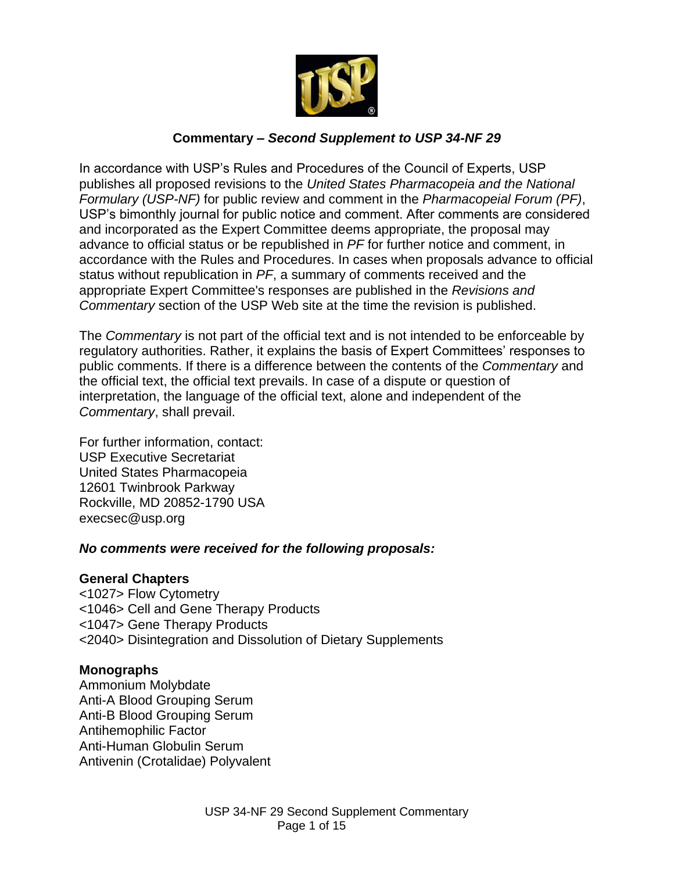

## **Commentary –** *Second Supplement to USP 34-NF 29*

In accordance with USP's Rules and Procedures of the Council of Experts, USP publishes all proposed revisions to the *United States Pharmacopeia and the National Formulary (USP-NF)* for public review and comment in the *Pharmacopeial Forum (PF)*, USP's bimonthly journal for public notice and comment. After comments are considered and incorporated as the Expert Committee deems appropriate, the proposal may advance to official status or be republished in *PF* for further notice and comment, in accordance with the Rules and Procedures. In cases when proposals advance to official status without republication in *PF*, a summary of comments received and the appropriate Expert Committee's responses are published in the *Revisions and Commentary* section of the USP Web site at the time the revision is published.

The *Commentary* is not part of the official text and is not intended to be enforceable by regulatory authorities. Rather, it explains the basis of Expert Committees' responses to public comments. If there is a difference between the contents of the *Commentary* and the official text, the official text prevails. In case of a dispute or question of interpretation, the language of the official text, alone and independent of the *Commentary*, shall prevail.

For further information, contact: USP Executive Secretariat United States Pharmacopeia 12601 Twinbrook Parkway Rockville, MD 20852-1790 USA execsec@usp.org

#### *No comments were received for the following proposals:*

#### **General Chapters**

<1027> Flow Cytometry <1046> Cell and Gene Therapy Products <1047> Gene Therapy Products <2040> Disintegration and Dissolution of Dietary Supplements

## **Monographs**

Ammonium Molybdate Anti-A Blood Grouping Serum Anti-B Blood Grouping Serum Antihemophilic Factor Anti-Human Globulin Serum Antivenin (Crotalidae) Polyvalent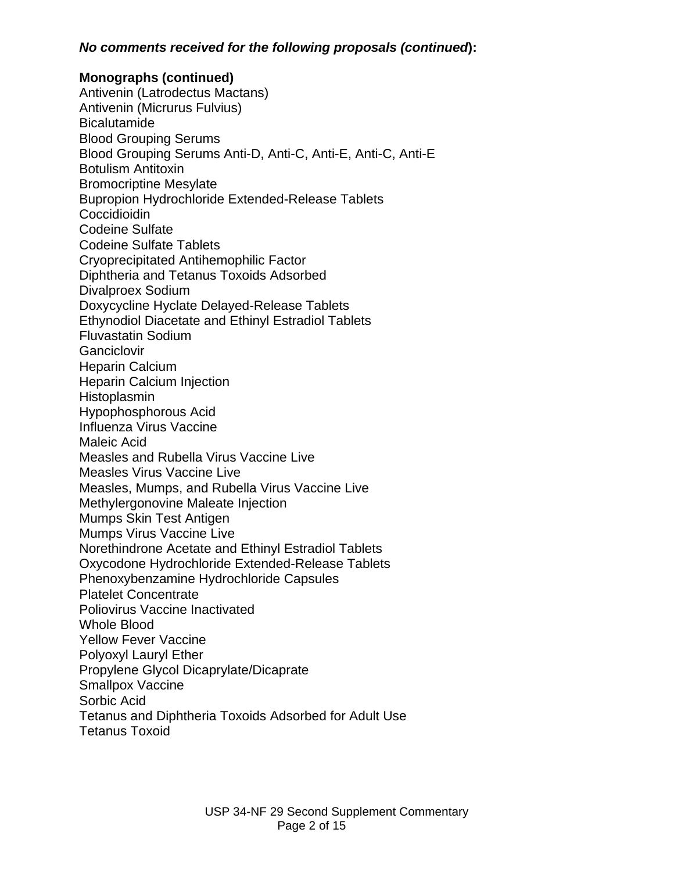#### *No comments received for the following proposals (continued***):**

#### **Monographs (continued)**

Antivenin (Latrodectus Mactans) Antivenin (Micrurus Fulvius) **Bicalutamide** Blood Grouping Serums Blood Grouping Serums Anti-D, Anti-C, Anti-E, Anti-C, Anti-E Botulism Antitoxin Bromocriptine Mesylate Bupropion Hydrochloride Extended-Release Tablets Coccidioidin Codeine Sulfate Codeine Sulfate Tablets Cryoprecipitated Antihemophilic Factor Diphtheria and Tetanus Toxoids Adsorbed Divalproex Sodium Doxycycline Hyclate Delayed*-*Release Tablets Ethynodiol Diacetate and Ethinyl Estradiol Tablets Fluvastatin Sodium **Ganciclovir** Heparin Calcium Heparin Calcium Injection **Histoplasmin** Hypophosphorous Acid Influenza Virus Vaccine Maleic Acid Measles and Rubella Virus Vaccine Live Measles Virus Vaccine Live Measles, Mumps, and Rubella Virus Vaccine Live Methylergonovine Maleate Injection Mumps Skin Test Antigen Mumps Virus Vaccine Live Norethindrone Acetate and Ethinyl Estradiol Tablets Oxycodone Hydrochloride Extended-Release Tablets Phenoxybenzamine Hydrochloride Capsules Platelet Concentrate Poliovirus Vaccine Inactivated Whole Blood Yellow Fever Vaccine Polyoxyl Lauryl Ether Propylene Glycol Dicaprylate/Dicaprate Smallpox Vaccine Sorbic Acid Tetanus and Diphtheria Toxoids Adsorbed for Adult Use Tetanus Toxoid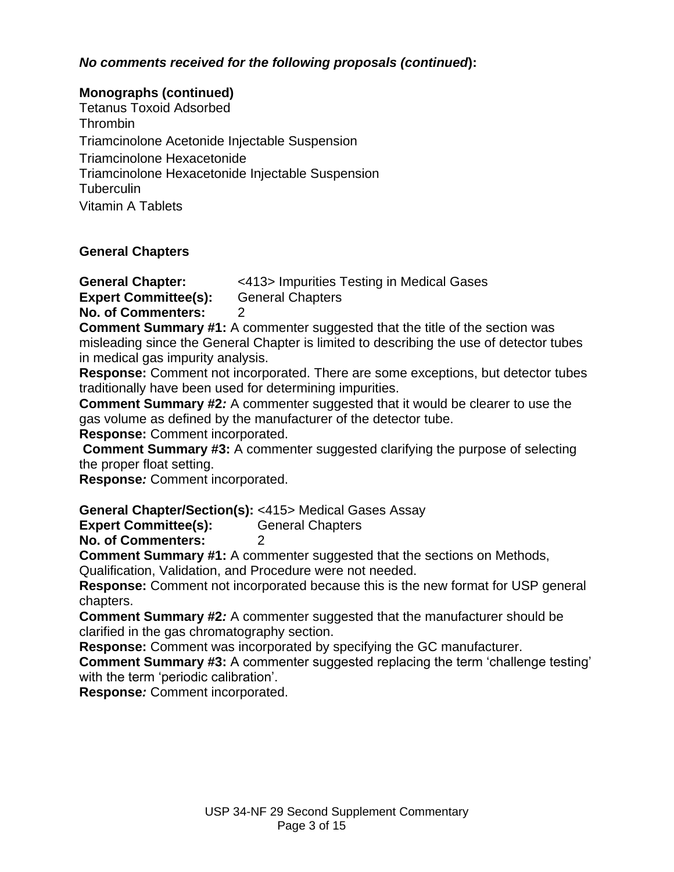## *No comments received for the following proposals (continued***):**

#### **Monographs (continued)**

Tetanus Toxoid Adsorbed Thrombin Triamcinolone Acetonide Injectable Suspension Triamcinolone Hexacetonide Triamcinolone Hexacetonide Injectable Suspension **Tuberculin** Vitamin A Tablets

## **General Chapters**

**General Chapter:** <413> Impurities Testing in Medical Gases **Expert Committee(s):** General Chapters

**No. of Commenters:** 2

**Comment Summary #1:** A commenter suggested that the title of the section was misleading since the General Chapter is limited to describing the use of detector tubes in medical gas impurity analysis.

**Response:** Comment not incorporated. There are some exceptions, but detector tubes traditionally have been used for determining impurities.

**Comment Summary #2***:* A commenter suggested that it would be clearer to use the gas volume as defined by the manufacturer of the detector tube.

**Response:** Comment incorporated.

**Comment Summary #3:** A commenter suggested clarifying the purpose of selecting the proper float setting.

**Response***:* Comment incorporated.

**General Chapter/Section(s):** <415> Medical Gases Assay

**Expert Committee(s):** General Chapters

**No. of Commenters:** 2

**Comment Summary #1:** A commenter suggested that the sections on Methods,

Qualification, Validation, and Procedure were not needed.

**Response:** Comment not incorporated because this is the new format for USP general chapters.

**Comment Summary #2***:* A commenter suggested that the manufacturer should be clarified in the gas chromatography section.

**Response:** Comment was incorporated by specifying the GC manufacturer.

**Comment Summary #3:** A commenter suggested replacing the term 'challenge testing' with the term 'periodic calibration'.

**Response***:* Comment incorporated.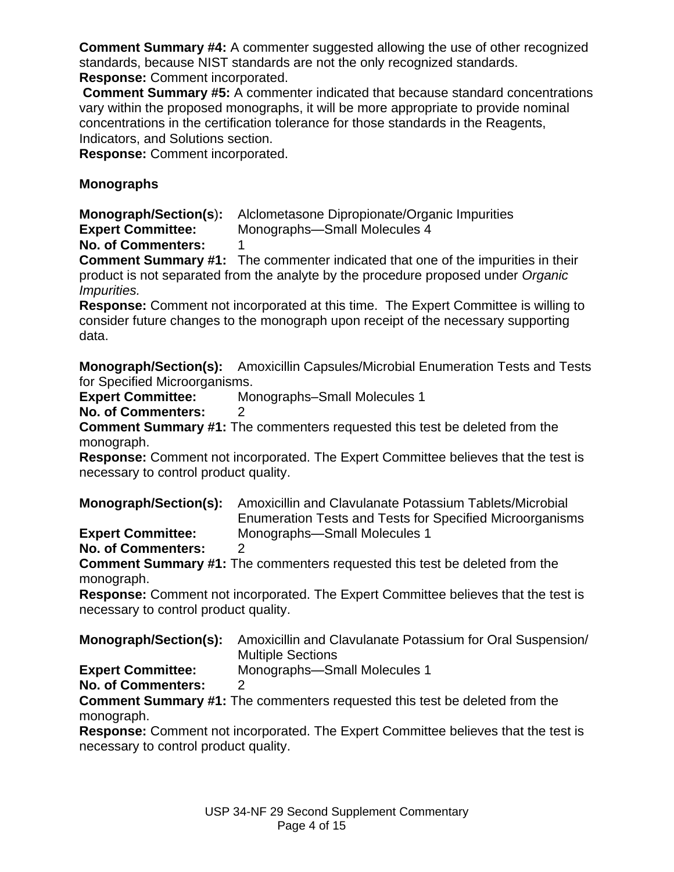**Comment Summary #4:** A commenter suggested allowing the use of other recognized standards, because NIST standards are not the only recognized standards. **Response:** Comment incorporated.

**Comment Summary #5:** A commenter indicated that because standard concentrations vary within the proposed monographs, it will be more appropriate to provide nominal concentrations in the certification tolerance for those standards in the Reagents, Indicators, and Solutions section.

**Response:** Comment incorporated.

## **Monographs**

**Monograph/Section(s**)**:** Alclometasone Dipropionate/Organic Impurities **Expert Committee:** Monographs—Small Molecules 4

**No. of Commenters:** 1

**Comment Summary #1:** The commenter indicated that one of the impurities in their product is not separated from the analyte by the procedure proposed under *Organic Impurities.* 

**Response:** Comment not incorporated at this time. The Expert Committee is willing to consider future changes to the monograph upon receipt of the necessary supporting data.

**Monograph/Section(s):** Amoxicillin Capsules/Microbial Enumeration Tests and Tests for Specified Microorganisms.

**Expert Committee:** Monographs–Small Molecules 1

**No. of Commenters:** 2

**Comment Summary #1:** The commenters requested this test be deleted from the monograph.

**Response:** Comment not incorporated. The Expert Committee believes that the test is necessary to control product quality.

**Monograph/Section(s):** Amoxicillin and Clavulanate Potassium Tablets/Microbial Enumeration Tests and Tests for Specified Microorganisms **Expert Committee:** Monographs—Small Molecules 1

**No. of Commenters:** 2

**Comment Summary #1:** The commenters requested this test be deleted from the monograph.

**Response:** Comment not incorporated. The Expert Committee believes that the test is necessary to control product quality.

|                          | <b>Monograph/Section(s):</b> Amoxicillin and Clavulanate Potassium for Oral Suspension/<br><b>Multiple Sections</b> |
|--------------------------|---------------------------------------------------------------------------------------------------------------------|
| <b>Expert Committee:</b> | Monographs-Small Molecules 1                                                                                        |

**No. of Commenters:** 2

**Comment Summary #1:** The commenters requested this test be deleted from the monograph.

**Response:** Comment not incorporated. The Expert Committee believes that the test is necessary to control product quality.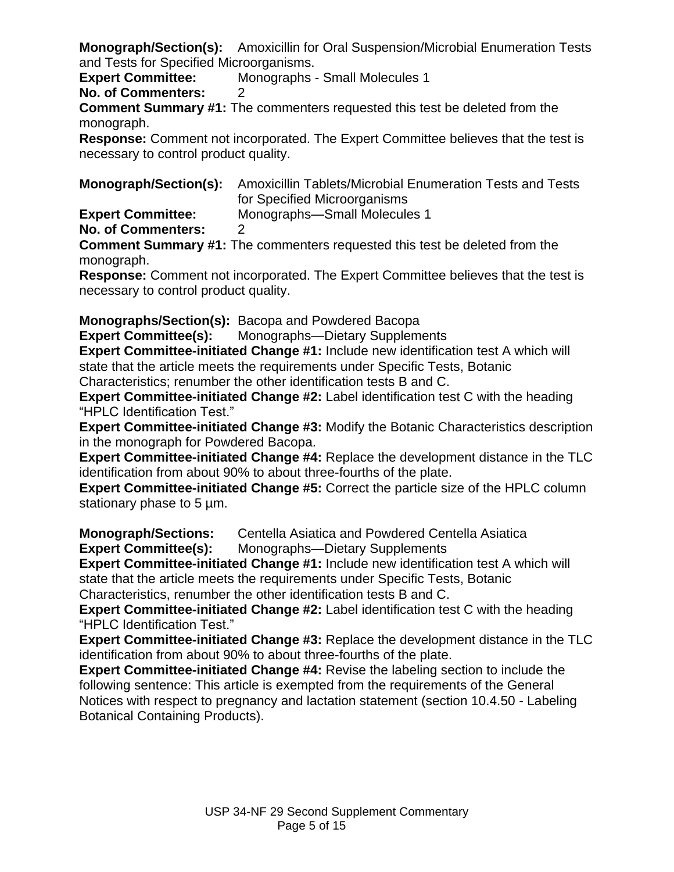**Monograph/Section(s):** Amoxicillin for Oral Suspension/Microbial Enumeration Tests and Tests for Specified Microorganisms.

**Expert Committee:** Monographs - Small Molecules 1

**No. of Commenters:** 2

**Comment Summary #1:** The commenters requested this test be deleted from the monograph.

**Response:** Comment not incorporated. The Expert Committee believes that the test is necessary to control product quality.

**Monograph/Section(s):** Amoxicillin Tablets/Microbial Enumeration Tests and Tests for Specified Microorganisms

**Expert Committee:** Monographs—Small Molecules 1

**No. of Commenters:** 2

**Comment Summary #1:** The commenters requested this test be deleted from the monograph.

**Response:** Comment not incorporated. The Expert Committee believes that the test is necessary to control product quality.

**Monographs/Section(s):** Bacopa and Powdered Bacopa

**Expert Committee(s):** Monographs—Dietary Supplements

**Expert Committee-initiated Change #1:** Include new identification test A which will state that the article meets the requirements under Specific Tests, Botanic

Characteristics; renumber the other identification tests B and C.

**Expert Committee-initiated Change #2:** Label identification test C with the heading "HPLC Identification Test."

**Expert Committee-initiated Change #3:** Modify the Botanic Characteristics description in the monograph for Powdered Bacopa.

**Expert Committee-initiated Change #4:** Replace the development distance in the TLC identification from about 90% to about three-fourths of the plate.

**Expert Committee-initiated Change #5:** Correct the particle size of the HPLC column stationary phase to 5 µm.

**Monograph/Sections:** Centella Asiatica and Powdered Centella Asiatica **Expert Committee(s):** Monographs—Dietary Supplements

**Expert Committee-initiated Change #1:** Include new identification test A which will state that the article meets the requirements under Specific Tests, Botanic Characteristics, renumber the other identification tests B and C.

**Expert Committee-initiated Change #2:** Label identification test C with the heading "HPLC Identification Test."

**Expert Committee-initiated Change #3:** Replace the development distance in the TLC identification from about 90% to about three-fourths of the plate.

**Expert Committee-initiated Change #4:** Revise the labeling section to include the following sentence: This article is exempted from the requirements of the General Notices with respect to pregnancy and lactation statement (section 10.4.50 - Labeling Botanical Containing Products).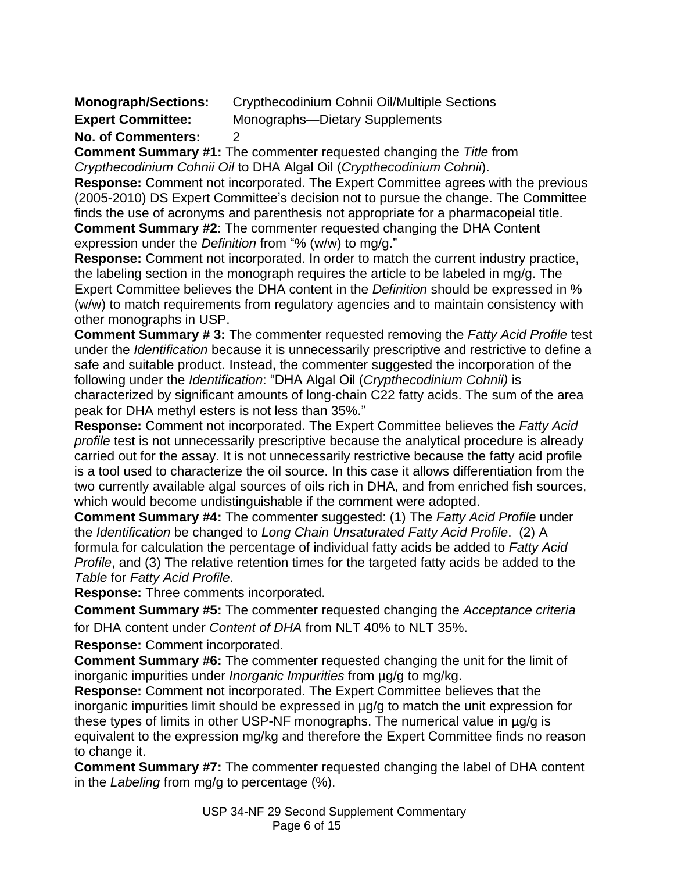| <b>Monograph/Sections:</b> | Crypthecodinium Cohnii Oil/Multiple Sections |
|----------------------------|----------------------------------------------|
| <b>Expert Committee:</b>   | Monographs—Dietary Supplements               |

#### **No. of Commenters:** 2

**Comment Summary #1:** The commenter requested changing the *Title* from *Crypthecodinium Cohnii Oil* to DHA Algal Oil (*Crypthecodinium Cohnii*).

**Response:** Comment not incorporated. The Expert Committee agrees with the previous (2005-2010) DS Expert Committee's decision not to pursue the change. The Committee finds the use of acronyms and parenthesis not appropriate for a pharmacopeial title. **Comment Summary #2**: The commenter requested changing the DHA Content expression under the *Definition* from "% (w/w) to mg/g."

**Response:** Comment not incorporated. In order to match the current industry practice, the labeling section in the monograph requires the article to be labeled in mg/g. The Expert Committee believes the DHA content in the *Definition* should be expressed in % (w/w) to match requirements from regulatory agencies and to maintain consistency with other monographs in USP.

**Comment Summary # 3:** The commenter requested removing the *Fatty Acid Profile* test under the *Identification* because it is unnecessarily prescriptive and restrictive to define a safe and suitable product. Instead, the commenter suggested the incorporation of the following under the *Identification*: "DHA Algal Oil (*Crypthecodinium Cohnii*) is characterized by significant amounts of long-chain C22 fatty acids. The sum of the area peak for DHA methyl esters is not less than 35%.‖

**Response:** Comment not incorporated. The Expert Committee believes the *Fatty Acid profile* test is not unnecessarily prescriptive because the analytical procedure is already carried out for the assay. It is not unnecessarily restrictive because the fatty acid profile is a tool used to characterize the oil source. In this case it allows differentiation from the two currently available algal sources of oils rich in DHA, and from enriched fish sources, which would become undistinguishable if the comment were adopted.

**Comment Summary #4:** The commenter suggested: (1) The *Fatty Acid Profile* under the *Identification* be changed to *Long Chain Unsaturated Fatty Acid Profile*. (2) A formula for calculation the percentage of individual fatty acids be added to *Fatty Acid Profile*, and (3) The relative retention times for the targeted fatty acids be added to the *Table* for *Fatty Acid Profile*.

**Response:** Three comments incorporated.

**Comment Summary #5:** The commenter requested changing the *Acceptance criteria* for DHA content under *Content of DHA* from NLT 40% to NLT 35%.

**Response:** Comment incorporated.

**Comment Summary #6:** The commenter requested changing the unit for the limit of inorganic impurities under *Inorganic Impurities* from µg/g to mg/kg.

**Response:** Comment not incorporated. The Expert Committee believes that the inorganic impurities limit should be expressed in µg/g to match the unit expression for these types of limits in other USP-NF monographs. The numerical value in µg/g is equivalent to the expression mg/kg and therefore the Expert Committee finds no reason to change it.

**Comment Summary #7:** The commenter requested changing the label of DHA content in the *Labeling* from mg/g to percentage (%).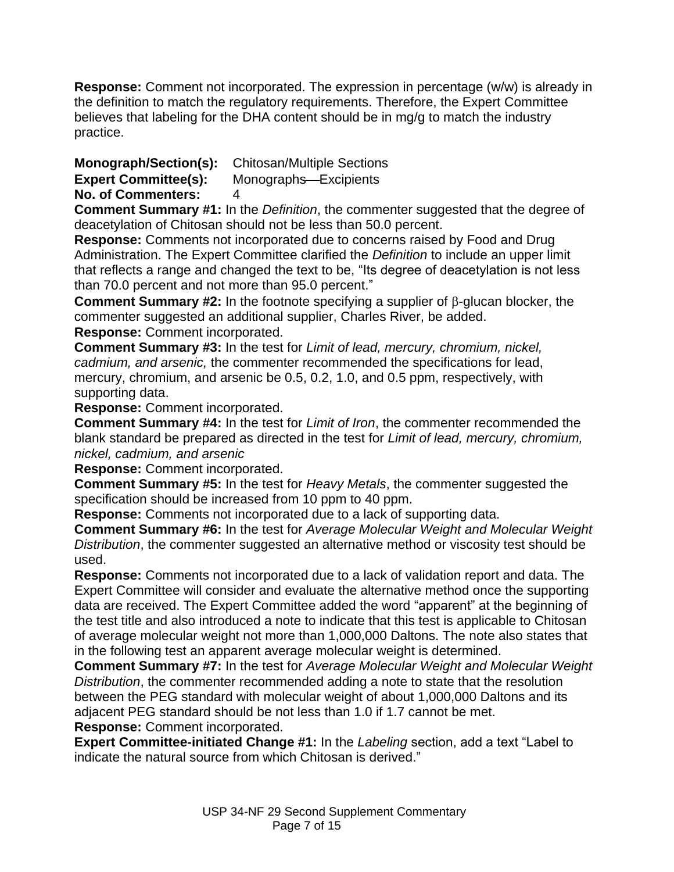**Response:** Comment not incorporated. The expression in percentage (w/w) is already in the definition to match the regulatory requirements. Therefore, the Expert Committee believes that labeling for the DHA content should be in mg/g to match the industry practice.

# **Monograph/Section(s):** Chitosan/Multiple Sections

**Expert Committee(s):** Monographs-Excipients

**No. of Commenters:** 4

**Comment Summary #1:** In the *Definition*, the commenter suggested that the degree of deacetylation of Chitosan should not be less than 50.0 percent.

**Response:** Comments not incorporated due to concerns raised by Food and Drug Administration. The Expert Committee clarified the *Definition* to include an upper limit that reflects a range and changed the text to be, "Its degree of deacetylation is not less than 70.0 percent and not more than 95.0 percent."

**Comment Summary #2:** In the footnote specifying a supplier of  $\beta$ -glucan blocker, the commenter suggested an additional supplier, Charles River, be added.

**Response:** Comment incorporated.

**Comment Summary #3:** In the test for *Limit of lead, mercury, chromium, nickel, cadmium, and arsenic,* the commenter recommended the specifications for lead, mercury, chromium, and arsenic be 0.5, 0.2, 1.0, and 0.5 ppm, respectively, with supporting data.

**Response:** Comment incorporated.

**Comment Summary #4:** In the test for *Limit of Iron*, the commenter recommended the blank standard be prepared as directed in the test for *Limit of lead, mercury, chromium, nickel, cadmium, and arsenic*

**Response:** Comment incorporated.

**Comment Summary #5:** In the test for *Heavy Metals*, the commenter suggested the specification should be increased from 10 ppm to 40 ppm.

**Response:** Comments not incorporated due to a lack of supporting data.

**Comment Summary #6:** In the test for *Average Molecular Weight and Molecular Weight Distribution*, the commenter suggested an alternative method or viscosity test should be used.

**Response:** Comments not incorporated due to a lack of validation report and data. The Expert Committee will consider and evaluate the alternative method once the supporting data are received. The Expert Committee added the word "apparent" at the beginning of the test title and also introduced a note to indicate that this test is applicable to Chitosan of average molecular weight not more than 1,000,000 Daltons. The note also states that in the following test an apparent average molecular weight is determined.

**Comment Summary #7:** In the test for *Average Molecular Weight and Molecular Weight Distribution*, the commenter recommended adding a note to state that the resolution between the PEG standard with molecular weight of about 1,000,000 Daltons and its adjacent PEG standard should be not less than 1.0 if 1.7 cannot be met.

**Response:** Comment incorporated.

**Expert Committee-initiated Change #1:** In the *Labeling* section, add a text "Label to indicate the natural source from which Chitosan is derived."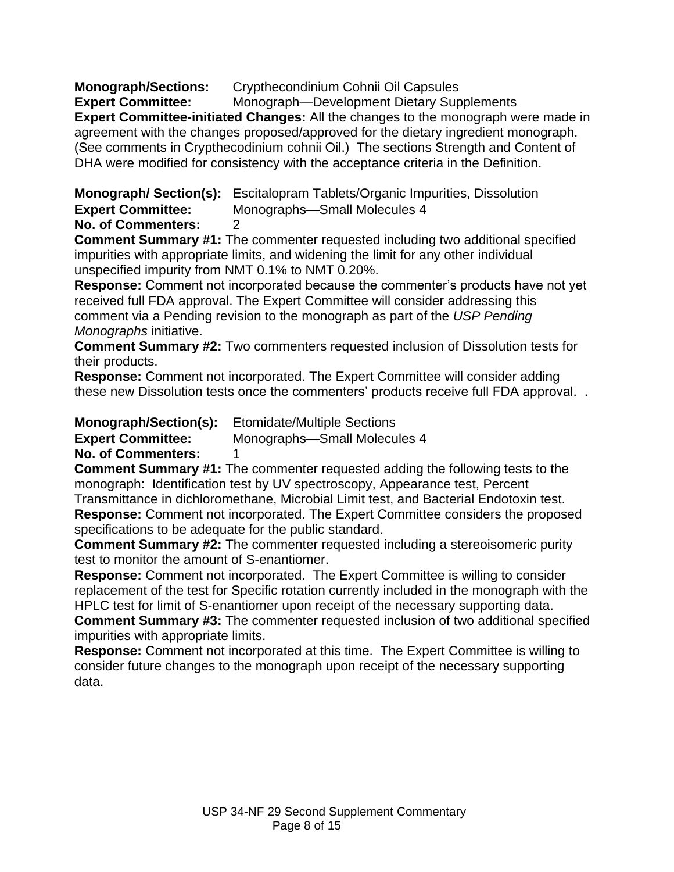**Monograph/Sections:** Crypthecondinium Cohnii Oil Capsules

**Expert Committee:** Monograph—Development Dietary Supplements **Expert Committee-initiated Changes:** All the changes to the monograph were made in agreement with the changes proposed/approved for the dietary ingredient monograph. (See comments in Crypthecodinium cohnii Oil.)The sections Strength and Content of DHA were modified for consistency with the acceptance criteria in the Definition.

**Monograph/ Section(s):** Escitalopram Tablets/Organic Impurities, Dissolution **Expert Committee:** Monographs-Small Molecules 4

**No. of Commenters:** 2

**Comment Summary #1:** The commenter requested including two additional specified impurities with appropriate limits, and widening the limit for any other individual unspecified impurity from NMT 0.1% to NMT 0.20%.

**Response:** Comment not incorporated because the commenter's products have not yet received full FDA approval. The Expert Committee will consider addressing this comment via a Pending revision to the monograph as part of the *USP Pending Monographs* initiative.

**Comment Summary #2:** Two commenters requested inclusion of Dissolution tests for their products.

**Response:** Comment not incorporated. The Expert Committee will consider adding these new Dissolution tests once the commenters' products receive full FDA approval. .

**Monograph/Section(s):** Etomidate/Multiple Sections

**Expert Committee:** Monographs-Small Molecules 4

**No. of Commenters:** 1

**Comment Summary #1:** The commenter requested adding the following tests to the monograph: Identification test by UV spectroscopy, Appearance test, Percent Transmittance in dichloromethane, Microbial Limit test, and Bacterial Endotoxin test. **Response:** Comment not incorporated. The Expert Committee considers the proposed specifications to be adequate for the public standard.

**Comment Summary #2:** The commenter requested including a stereoisomeric purity test to monitor the amount of S-enantiomer.

**Response:** Comment not incorporated. The Expert Committee is willing to consider replacement of the test for Specific rotation currently included in the monograph with the HPLC test for limit of S-enantiomer upon receipt of the necessary supporting data. **Comment Summary #3:** The commenter requested inclusion of two additional specified impurities with appropriate limits.

**Response:** Comment not incorporated at this time. The Expert Committee is willing to consider future changes to the monograph upon receipt of the necessary supporting data.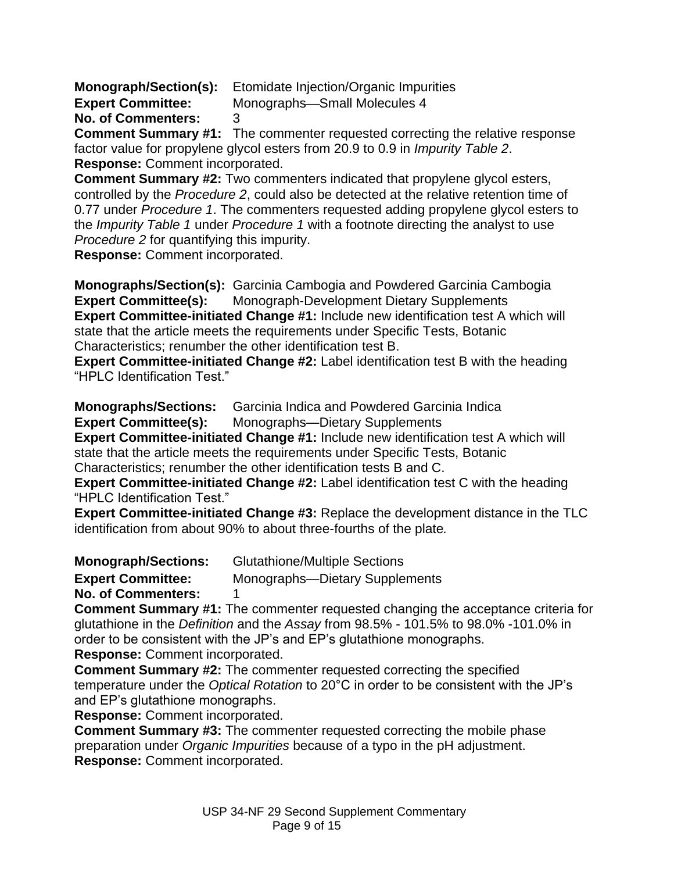**Monograph/Section(s):** Etomidate Injection/Organic Impurities

**Expert Committee:** Monographs-Small Molecules 4

**No. of Commenters:** 3

**Comment Summary #1:** The commenter requested correcting the relative response factor value for propylene glycol esters from 20.9 to 0.9 in *Impurity Table 2*. **Response:** Comment incorporated.

**Comment Summary #2:** Two commenters indicated that propylene glycol esters, controlled by the *Procedure 2*, could also be detected at the relative retention time of 0.77 under *Procedure 1*. The commenters requested adding propylene glycol esters to the *Impurity Table 1* under *Procedure 1* with a footnote directing the analyst to use *Procedure 2* for quantifying this impurity.

**Response:** Comment incorporated.

**Monographs/Section(s):** Garcinia Cambogia and Powdered Garcinia Cambogia **Expert Committee(s):** Monograph-Development Dietary Supplements **Expert Committee-initiated Change #1:** Include new identification test A which will state that the article meets the requirements under Specific Tests, Botanic Characteristics; renumber the other identification test B.

**Expert Committee-initiated Change #2:** Label identification test B with the heading "HPLC Identification Test."

**Monographs/Sections:** Garcinia Indica and Powdered Garcinia Indica

**Expert Committee(s):** Monographs—Dietary Supplements

**Expert Committee-initiated Change #1:** Include new identification test A which will state that the article meets the requirements under Specific Tests, Botanic Characteristics; renumber the other identification tests B and C.

**Expert Committee-initiated Change #2:** Label identification test C with the heading "HPLC Identification Test."

**Expert Committee-initiated Change #3:** Replace the development distance in the TLC identification from about 90% to about three-fourths of the plate*.*

**Monograph/Sections:** Glutathione/Multiple Sections

**Expert Committee:** Monographs—Dietary Supplements

**No. of Commenters:** 1

**Comment Summary #1:** The commenter requested changing the acceptance criteria for glutathione in the *Definition* and the *Assay* from 98.5% - 101.5% to 98.0% -101.0% in order to be consistent with the JP's and EP's glutathione monographs. **Response:** Comment incorporated.

**Comment Summary #2:** The commenter requested correcting the specified temperature under the *Optical Rotation* to 20°C in order to be consistent with the JP's and EP's glutathione monographs.

**Response:** Comment incorporated.

**Comment Summary #3:** The commenter requested correcting the mobile phase preparation under *Organic Impurities* because of a typo in the pH adjustment. **Response:** Comment incorporated.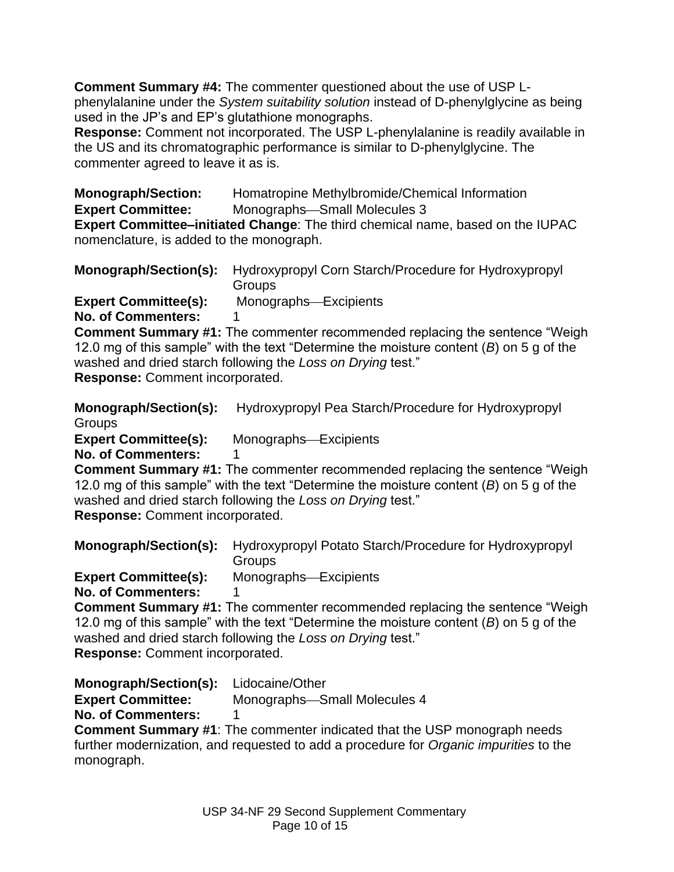**Comment Summary #4:** The commenter questioned about the use of USP Lphenylalanine under the *System suitability solution* instead of D-phenylglycine as being used in the JP's and EP's glutathione monographs.

**Response:** Comment not incorporated. The USP L-phenylalanine is readily available in the US and its chromatographic performance is similar to D-phenylglycine. The commenter agreed to leave it as is.

**Monograph/Section:** Homatropine Methylbromide/Chemical Information **Expert Committee:** Monographs-Small Molecules 3

**Expert Committee–initiated Change**: The third chemical name, based on the IUPAC nomenclature, is added to the monograph.

|                             | <b>Monograph/Section(s):</b> Hydroxypropyl Corn Starch/Procedure for Hydroxypropyl<br><b>Groups</b> |
|-----------------------------|-----------------------------------------------------------------------------------------------------|
| <b>Expert Committee(s):</b> | Monographs-Excipients                                                                               |

**No. of Commenters:** 

**Comment Summary #1:** The commenter recommended replacing the sentence "Weigh 12.0 mg of this sample" with the text "Determine the moisture content (B) on 5 g of the washed and dried starch following the Loss on Drying test."

**Response:** Comment incorporated.

**Monograph/Section(s):** Hydroxypropyl Pea Starch/Procedure for Hydroxypropyl **Groups** 

**Expert Committee(s):** Monographs—Excipients **No. of Commenters:** 

**Comment Summary #1:** The commenter recommended replacing the sentence "Weigh 12.0 mg of this sample<sup>"</sup> with the text "Determine the moisture content (B) on 5 g of the washed and dried starch following the Loss on Drying test." **Response:** Comment incorporated.

**Monograph/Section(s):** Hydroxypropyl Potato Starch/Procedure for Hydroxypropyl **Groups** 

**Expert Committee(s):** Monographs-Excipients

**No. of Commenters:** 

**Comment Summary #1:** The commenter recommended replacing the sentence "Weigh 12.0 mg of this sample" with the text "Determine the moisture content (*B*) on 5 g of the washed and dried starch following the *Loss on Drying* test." **Response:** Comment incorporated.

**Monograph/Section(s):** Lidocaine/Other

**Expert Committee:** Monographs-Small Molecules 4

**No. of Commenters:** 

**Comment Summary #1**: The commenter indicated that the USP monograph needs further modernization, and requested to add a procedure for *Organic impurities* to the monograph.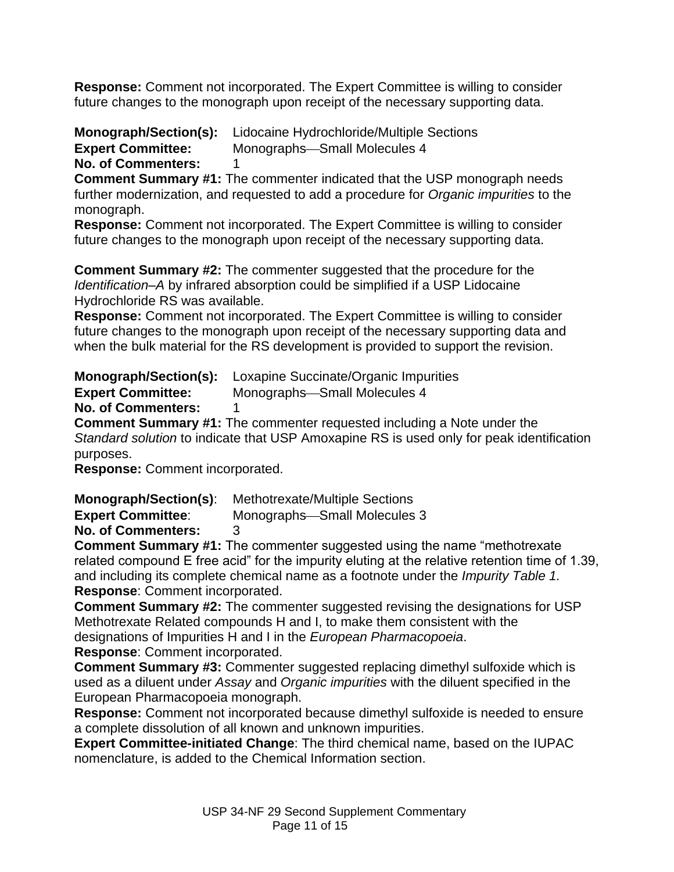**Response:** Comment not incorporated. The Expert Committee is willing to consider future changes to the monograph upon receipt of the necessary supporting data.

**Monograph/Section(s):** Lidocaine Hydrochloride/Multiple Sections **Expert Committee:** Monographs-Small Molecules 4 **No. of Commenters:** 1

**Comment Summary #1:** The commenter indicated that the USP monograph needs further modernization, and requested to add a procedure for *Organic impurities* to the monograph.

**Response:** Comment not incorporated. The Expert Committee is willing to consider future changes to the monograph upon receipt of the necessary supporting data.

**Comment Summary #2:** The commenter suggested that the procedure for the *Identification–A* by infrared absorption could be simplified if a USP Lidocaine Hydrochloride RS was available.

**Response:** Comment not incorporated. The Expert Committee is willing to consider future changes to the monograph upon receipt of the necessary supporting data and when the bulk material for the RS development is provided to support the revision.

**Monograph/Section(s):** Loxapine Succinate/Organic Impurities

**Expert Committee:** Monographs-Small Molecules 4

**No. of Commenters:** 1

**Comment Summary #1:** The commenter requested including a Note under the *Standard solution* to indicate that USP Amoxapine RS is used only for peak identification purposes.

**Response:** Comment incorporated.

**Monograph/Section(s)**: Methotrexate/Multiple Sections

**Expert Committee:** Monographs-Small Molecules 3

**No. of Commenters:** 3

**Comment Summary #1:** The commenter suggested using the name "methotrexate" related compound E free acid" for the impurity eluting at the relative retention time of 1.39, and including its complete chemical name as a footnote under the *Impurity Table 1.* **Response**: Comment incorporated.

**Comment Summary #2:** The commenter suggested revising the designations for USP Methotrexate Related compounds H and I, to make them consistent with the designations of Impurities H and I in the *European Pharmacopoeia*.

**Response**: Comment incorporated.

**Comment Summary #3:** Commenter suggested replacing dimethyl sulfoxide which is used as a diluent under *Assay* and *Organic impurities* with the diluent specified in the European Pharmacopoeia monograph.

**Response:** Comment not incorporated because dimethyl sulfoxide is needed to ensure a complete dissolution of all known and unknown impurities.

**Expert Committee-initiated Change**: The third chemical name, based on the IUPAC nomenclature, is added to the Chemical Information section.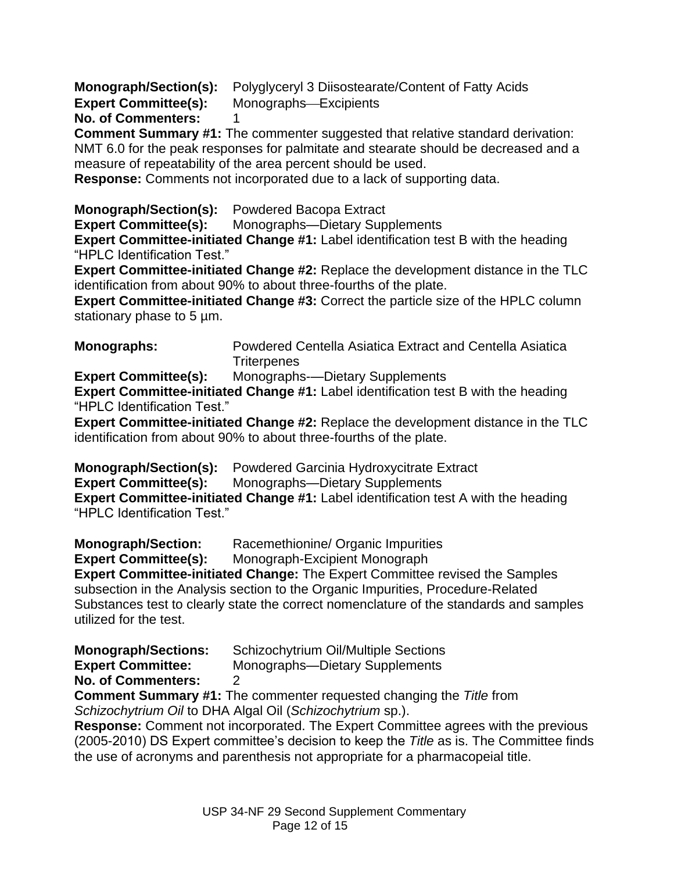**Monograph/Section(s):** Polyglyceryl 3 Diisostearate/Content of Fatty Acids

**Expert Committee(s):** Monographs-Excipients

## **No. of Commenters:** 1

**Comment Summary #1:** The commenter suggested that relative standard derivation: NMT 6.0 for the peak responses for palmitate and stearate should be decreased and a measure of repeatability of the area percent should be used.

**Response:** Comments not incorporated due to a lack of supporting data.

**Monograph/Section(s):** Powdered Bacopa Extract

**Expert Committee(s):** Monographs—Dietary Supplements

**Expert Committee-initiated Change #1:** Label identification test B with the heading "HPLC Identification Test."

**Expert Committee-initiated Change #2:** Replace the development distance in the TLC identification from about 90% to about three-fourths of the plate.

**Expert Committee-initiated Change #3: Correct the particle size of the HPLC column** stationary phase to 5  $\mu$ m.

**Monographs:** Powdered Centella Asiatica Extract and Centella Asiatica **Triterpenes** 

**Expert Committee(s):** Monographs-—Dietary Supplements

**Expert Committee-initiated Change #1:** Label identification test B with the heading "HPLC Identification Test."

**Expert Committee-initiated Change #2:** Replace the development distance in the TLC identification from about 90% to about three-fourths of the plate.

**Monograph/Section(s):** Powdered Garcinia Hydroxycitrate Extract **Expert Committee(s):** Monographs—Dietary Supplements

**Expert Committee-initiated Change #1:** Label identification test A with the heading "HPLC Identification Test."

**Monograph/Section:** Racemethionine/ Organic Impurities

**Expert Committee(s):** Monograph-Excipient Monograph

**Expert Committee-initiated Change:** The Expert Committee revised the Samples subsection in the Analysis section to the Organic Impurities, Procedure-Related Substances test to clearly state the correct nomenclature of the standards and samples utilized for the test.

**Monograph/Sections:** Schizochytrium Oil/Multiple Sections

**Expert Committee:** Monographs—Dietary Supplements

**No. of Commenters:** 2

**Comment Summary #1:** The commenter requested changing the *Title* from *Schizochytrium Oil* to DHA Algal Oil (*Schizochytrium* sp.).

**Response:** Comment not incorporated. The Expert Committee agrees with the previous (2005-2010) DS Expert committee's decision to keep the *Title* as is. The Committee finds the use of acronyms and parenthesis not appropriate for a pharmacopeial title.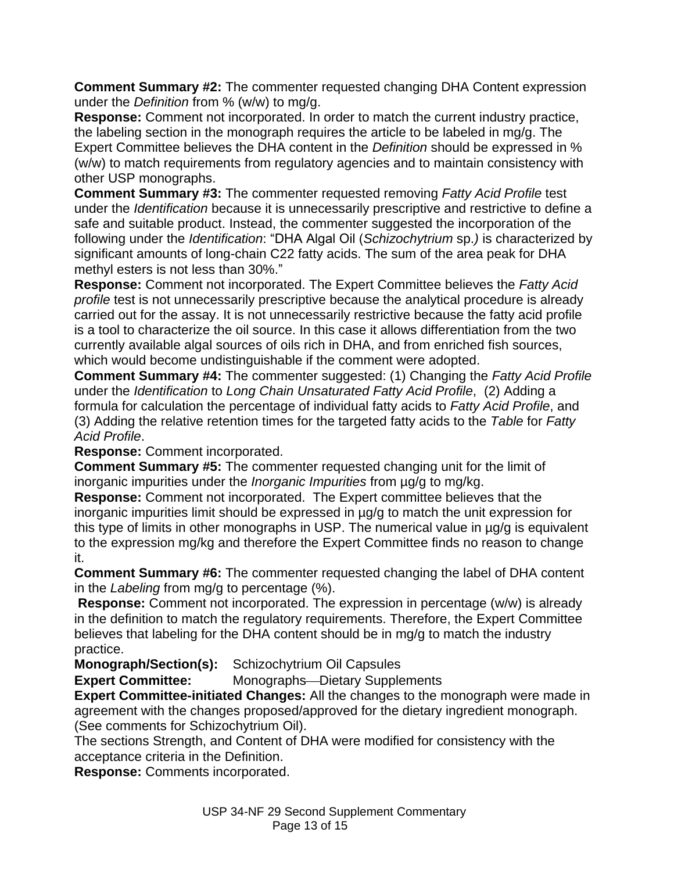**Comment Summary #2:** The commenter requested changing DHA Content expression under the *Definition* from % (w/w) to mg/g.

**Response:** Comment not incorporated. In order to match the current industry practice, the labeling section in the monograph requires the article to be labeled in mg/g. The Expert Committee believes the DHA content in the *Definition* should be expressed in % (w/w) to match requirements from regulatory agencies and to maintain consistency with other USP monographs.

**Comment Summary #3:** The commenter requested removing *Fatty Acid Profile* test under the *Identification* because it is unnecessarily prescriptive and restrictive to define a safe and suitable product. Instead, the commenter suggested the incorporation of the following under the *Identification*: "DHA Algal Oil (*Schizochytrium* sp.) is characterized by significant amounts of long-chain C22 fatty acids. The sum of the area peak for DHA methyl esters is not less than 30%."

**Response:** Comment not incorporated. The Expert Committee believes the *Fatty Acid profile* test is not unnecessarily prescriptive because the analytical procedure is already carried out for the assay. It is not unnecessarily restrictive because the fatty acid profile is a tool to characterize the oil source. In this case it allows differentiation from the two currently available algal sources of oils rich in DHA, and from enriched fish sources, which would become undistinguishable if the comment were adopted.

**Comment Summary #4:** The commenter suggested: (1) Changing the *Fatty Acid Profile* under the *Identification* to *Long Chain Unsaturated Fatty Acid Profile*, (2) Adding a formula for calculation the percentage of individual fatty acids to *Fatty Acid Profile*, and (3) Adding the relative retention times for the targeted fatty acids to the *Table* for *Fatty Acid Profile*.

**Response:** Comment incorporated.

**Comment Summary #5:** The commenter requested changing unit for the limit of inorganic impurities under the *Inorganic Impurities* from µg/g to mg/kg.

**Response:** Comment not incorporated. The Expert committee believes that the inorganic impurities limit should be expressed in µg/g to match the unit expression for this type of limits in other monographs in USP. The numerical value in µg/g is equivalent to the expression mg/kg and therefore the Expert Committee finds no reason to change it.

**Comment Summary #6:** The commenter requested changing the label of DHA content in the *Labeling* from mg/g to percentage (%).

**Response:** Comment not incorporated. The expression in percentage (w/w) is already in the definition to match the regulatory requirements. Therefore, the Expert Committee believes that labeling for the DHA content should be in mg/g to match the industry practice.

**Monograph/Section(s):** Schizochytrium Oil Capsules

**Expert Committee:** Monographs—Dietary Supplements

**Expert Committee-initiated Changes:** All the changes to the monograph were made in agreement with the changes proposed/approved for the dietary ingredient monograph. (See comments for Schizochytrium Oil).

The sections Strength, and Content of DHA were modified for consistency with the acceptance criteria in the Definition.

**Response:** Comments incorporated.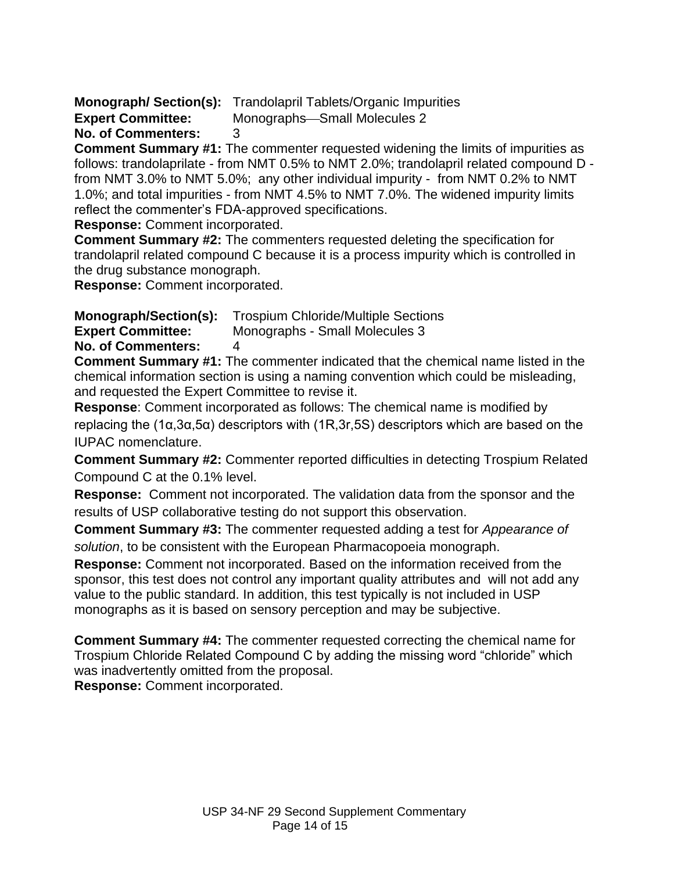**Monograph/ Section(s):** Trandolapril Tablets/Organic Impurities

**Expert Committee:** Monographs-Small Molecules 2

**No. of Commenters:** 3

**Comment Summary #1:** The commenter requested widening the limits of impurities as follows: trandolaprilate - from NMT 0.5% to NMT 2.0%; trandolapril related compound D from NMT 3.0% to NMT 5.0%; any other individual impurity - from NMT 0.2% to NMT 1.0%; and total impurities - from NMT 4.5% to NMT 7.0%. The widened impurity limits reflect the commenter's FDA-approved specifications.

**Response:** Comment incorporated.

**Comment Summary #2:** The commenters requested deleting the specification for trandolapril related compound C because it is a process impurity which is controlled in the drug substance monograph.

**Response:** Comment incorporated.

**Monograph/Section(s):** Trospium Chloride/Multiple Sections

**Expert Committee:** Monographs - Small Molecules 3

**No. of Commenters:** 4

**Comment Summary #1:** The commenter indicated that the chemical name listed in the chemical information section is using a naming convention which could be misleading, and requested the Expert Committee to revise it.

**Response**: Comment incorporated as follows: The chemical name is modified by replacing the (1α,3α,5α) descriptors with (1R,3r,5S) descriptors which are based on the IUPAC nomenclature.

**Comment Summary #2:** Commenter reported difficulties in detecting Trospium Related Compound C at the 0.1% level.

**Response:** Comment not incorporated. The validation data from the sponsor and the results of USP collaborative testing do not support this observation.

**Comment Summary #3:** The commenter requested adding a test for *Appearance of solution*, to be consistent with the European Pharmacopoeia monograph.

**Response:** Comment not incorporated. Based on the information received from the sponsor, this test does not control any important quality attributes and will not add any value to the public standard. In addition, this test typically is not included in USP monographs as it is based on sensory perception and may be subjective.

**Comment Summary #4:** The commenter requested correcting the chemical name for Trospium Chloride Related Compound C by adding the missing word "chloride" which was inadvertently omitted from the proposal.

**Response:** Comment incorporated.